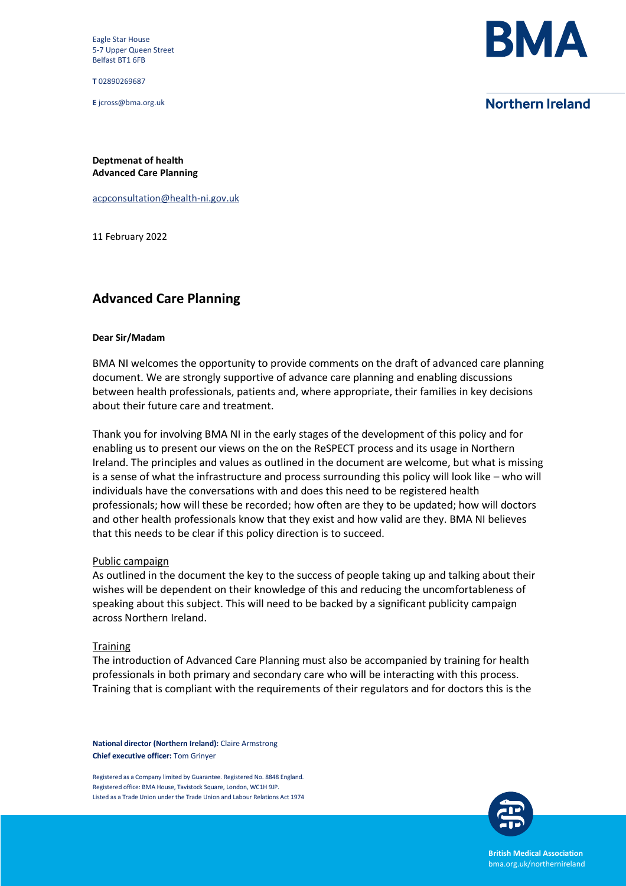Eagle Star House 5-7 Upper Queen Street Belfast BT1 6FB

**T** 02890269687

**E** jcross@bma.org.uk



# **Northern Ireland**

**Deptmenat of health Advanced Care Planning** 

[acpconsultation@health-ni.gov.uk](mailto:acpconsultation@health-ni.gov.uk)

11 February 2022

# **Advanced Care Planning**

### **Dear Sir/Madam**

BMA NI welcomes the opportunity to provide comments on the draft of advanced care planning document. We are strongly supportive of advance care planning and enabling discussions between health professionals, patients and, where appropriate, their families in key decisions about their future care and treatment.

Thank you for involving BMA NI in the early stages of the development of this policy and for enabling us to present our views on the on the ReSPECT process and its usage in Northern Ireland. The principles and values as outlined in the document are welcome, but what is missing is a sense of what the infrastructure and process surrounding this policy will look like – who will individuals have the conversations with and does this need to be registered health professionals; how will these be recorded; how often are they to be updated; how will doctors and other health professionals know that they exist and how valid are they. BMA NI believes that this needs to be clear if this policy direction is to succeed.

### Public campaign

As outlined in the document the key to the success of people taking up and talking about their wishes will be dependent on their knowledge of this and reducing the uncomfortableness of speaking about this subject. This will need to be backed by a significant publicity campaign across Northern Ireland.

### **Training**

The introduction of Advanced Care Planning must also be accompanied by training for health professionals in both primary and secondary care who will be interacting with this process. Training that is compliant with the requirements of their regulators and for doctors this is the

**National director (Northern Ireland):** Claire Armstrong **Chief executive officer:** Tom Grinyer

Registered as a Company limited by Guarantee. Registered No. 8848 England. Registered office: BMA House, Tavistock Square, London, WC1H 9JP. Listed as a Trade Union under the Trade Union and Labour Relations Act 1974



**British Medical Association** bma.org.uk/northernireland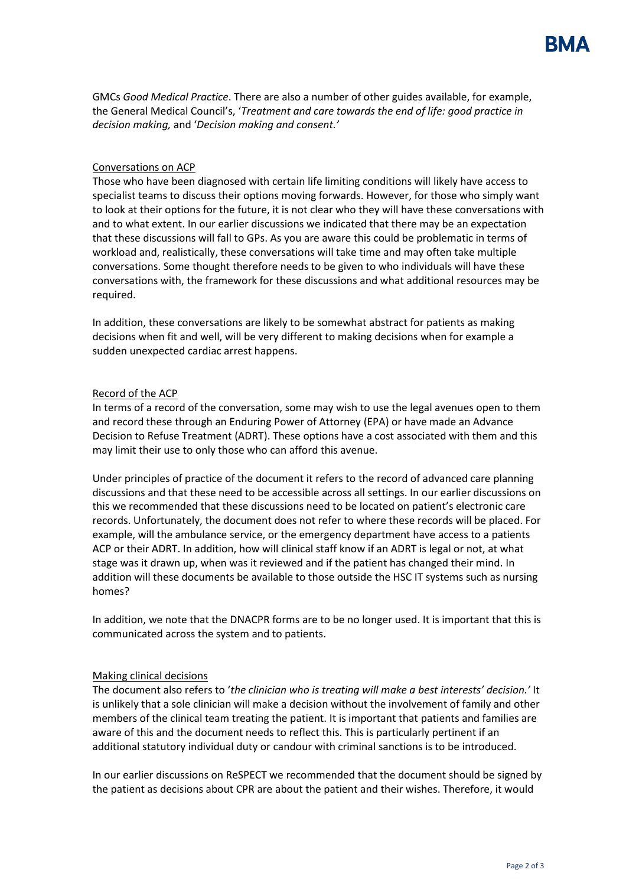GMCs *Good Medical Practice*. There are also a number of other guides available, for example, the General Medical Council's, '*Treatment and care towards the end of life: good practice in decision making,* and '*Decision making and consent.'*

## Conversations on ACP

Those who have been diagnosed with certain life limiting conditions will likely have access to specialist teams to discuss their options moving forwards. However, for those who simply want to look at their options for the future, it is not clear who they will have these conversations with and to what extent. In our earlier discussions we indicated that there may be an expectation that these discussions will fall to GPs. As you are aware this could be problematic in terms of workload and, realistically, these conversations will take time and may often take multiple conversations. Some thought therefore needs to be given to who individuals will have these conversations with, the framework for these discussions and what additional resources may be required.

In addition, these conversations are likely to be somewhat abstract for patients as making decisions when fit and well, will be very different to making decisions when for example a sudden unexpected cardiac arrest happens.

## Record of the ACP

In terms of a record of the conversation, some may wish to use the legal avenues open to them and record these through an Enduring Power of Attorney (EPA) or have made an Advance Decision to Refuse Treatment (ADRT). These options have a cost associated with them and this may limit their use to only those who can afford this avenue.

Under principles of practice of the document it refers to the record of advanced care planning discussions and that these need to be accessible across all settings. In our earlier discussions on this we recommended that these discussions need to be located on patient's electronic care records. Unfortunately, the document does not refer to where these records will be placed. For example, will the ambulance service, or the emergency department have access to a patients ACP or their ADRT. In addition, how will clinical staff know if an ADRT is legal or not, at what stage was it drawn up, when was it reviewed and if the patient has changed their mind. In addition will these documents be available to those outside the HSC IT systems such as nursing homes?

In addition, we note that the DNACPR forms are to be no longer used. It is important that this is communicated across the system and to patients.

## Making clinical decisions

The document also refers to '*the clinician who is treating will make a best interests' decision.'* It is unlikely that a sole clinician will make a decision without the involvement of family and other members of the clinical team treating the patient. It is important that patients and families are aware of this and the document needs to reflect this. This is particularly pertinent if an additional statutory individual duty or candour with criminal sanctions is to be introduced.

In our earlier discussions on ReSPECT we recommended that the document should be signed by the patient as decisions about CPR are about the patient and their wishes. Therefore, it would